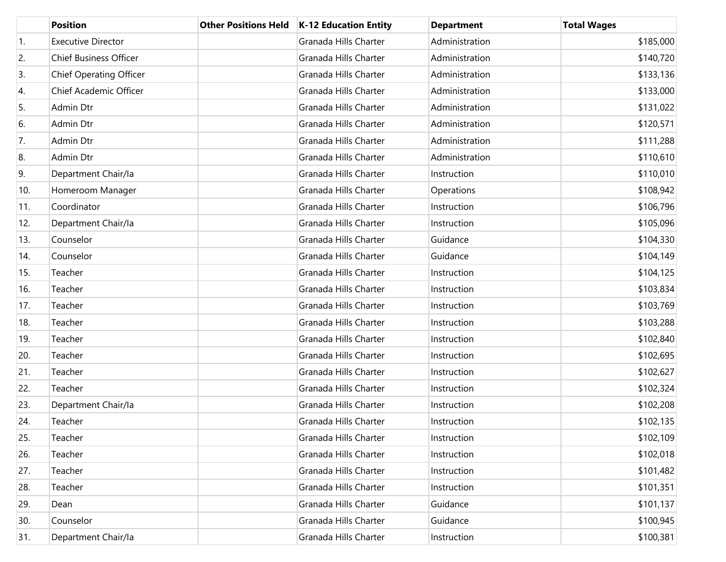|     | <b>Position</b>                | <b>Other Positions Held</b> | K-12 Education Entity | <b>Department</b> | <b>Total Wages</b> |
|-----|--------------------------------|-----------------------------|-----------------------|-------------------|--------------------|
| 1.  | <b>Executive Director</b>      |                             | Granada Hills Charter | Administration    | \$185,000          |
| 2.  | <b>Chief Business Officer</b>  |                             | Granada Hills Charter | Administration    | \$140,720          |
| 3.  | <b>Chief Operating Officer</b> |                             | Granada Hills Charter | Administration    | \$133,136          |
| 4.  | Chief Academic Officer         |                             | Granada Hills Charter | Administration    | \$133,000          |
| 5.  | Admin Dtr                      |                             | Granada Hills Charter | Administration    | \$131,022          |
| 6.  | Admin Dtr                      |                             | Granada Hills Charter | Administration    | \$120,571          |
| 7.  | Admin Dtr                      |                             | Granada Hills Charter | Administration    | \$111,288          |
| 8.  | Admin Dtr                      |                             | Granada Hills Charter | Administration    | \$110,610          |
| 9.  | Department Chair/la            |                             | Granada Hills Charter | Instruction       | \$110,010          |
| 10. | Homeroom Manager               |                             | Granada Hills Charter | Operations        | \$108,942          |
| 11. | Coordinator                    |                             | Granada Hills Charter | Instruction       | \$106,796          |
| 12. | Department Chair/la            |                             | Granada Hills Charter | Instruction       | \$105,096          |
| 13. | Counselor                      |                             | Granada Hills Charter | Guidance          | \$104,330          |
| 14. | Counselor                      |                             | Granada Hills Charter | Guidance          | \$104,149          |
| 15. | Teacher                        |                             | Granada Hills Charter | Instruction       | \$104,125          |
| 16. | Teacher                        |                             | Granada Hills Charter | Instruction       | \$103,834          |
| 17. | Teacher                        |                             | Granada Hills Charter | Instruction       | \$103,769          |
| 18. | Teacher                        |                             | Granada Hills Charter | Instruction       | \$103,288          |
| 19. | Teacher                        |                             | Granada Hills Charter | Instruction       | \$102,840          |
| 20. | Teacher                        |                             | Granada Hills Charter | Instruction       | \$102,695          |
| 21. | Teacher                        |                             | Granada Hills Charter | Instruction       | \$102,627          |
| 22. | Teacher                        |                             | Granada Hills Charter | Instruction       | \$102,324          |
| 23. | Department Chair/la            |                             | Granada Hills Charter | Instruction       | \$102,208          |
| 24. | Teacher                        |                             | Granada Hills Charter | Instruction       | \$102,135          |
| 25. | Teacher                        |                             | Granada Hills Charter | Instruction       | \$102,109          |
| 26. | Teacher                        |                             | Granada Hills Charter | Instruction       | \$102,018          |
| 27. | Teacher                        |                             | Granada Hills Charter | Instruction       | \$101,482          |
| 28. | Teacher                        |                             | Granada Hills Charter | Instruction       | \$101,351          |
| 29. | Dean                           |                             | Granada Hills Charter | Guidance          | \$101,137          |
| 30. | Counselor                      |                             | Granada Hills Charter | Guidance          | \$100,945          |
| 31. | Department Chair/la            |                             | Granada Hills Charter | Instruction       | \$100,381          |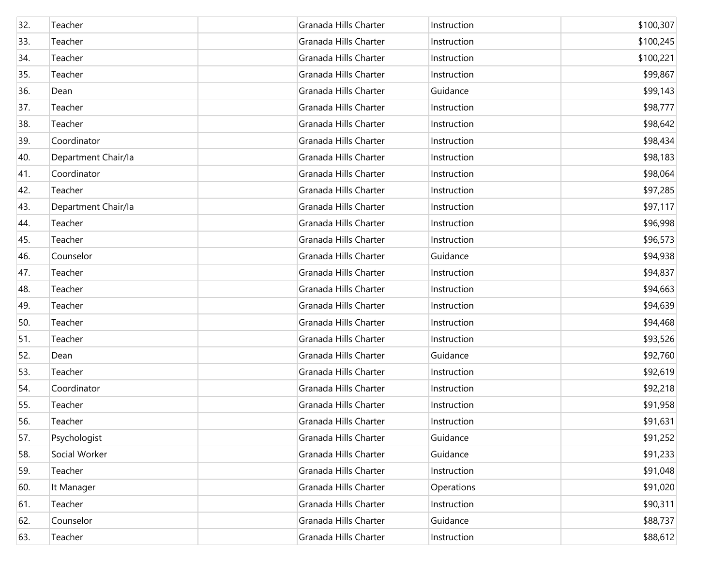| 32. | Teacher             | Granada Hills Charter | Instruction | \$100,307 |
|-----|---------------------|-----------------------|-------------|-----------|
| 33. | Teacher             | Granada Hills Charter | Instruction | \$100,245 |
| 34. | Teacher             | Granada Hills Charter | Instruction | \$100,221 |
| 35. | Teacher             | Granada Hills Charter | Instruction | \$99,867  |
| 36. | Dean                | Granada Hills Charter | Guidance    | \$99,143  |
| 37. | Teacher             | Granada Hills Charter | Instruction | \$98,777  |
| 38. | Teacher             | Granada Hills Charter | Instruction | \$98,642  |
| 39. | Coordinator         | Granada Hills Charter | Instruction | \$98,434  |
| 40. | Department Chair/la | Granada Hills Charter | Instruction | \$98,183  |
| 41. | Coordinator         | Granada Hills Charter | Instruction | \$98,064  |
| 42. | Teacher             | Granada Hills Charter | Instruction | \$97,285  |
| 43. | Department Chair/la | Granada Hills Charter | Instruction | \$97,117  |
| 44. | Teacher             | Granada Hills Charter | Instruction | \$96,998  |
| 45. | Teacher             | Granada Hills Charter | Instruction | \$96,573  |
| 46. | Counselor           | Granada Hills Charter | Guidance    | \$94,938  |
| 47. | Teacher             | Granada Hills Charter | Instruction | \$94,837  |
| 48. | Teacher             | Granada Hills Charter | Instruction | \$94,663  |
| 49. | Teacher             | Granada Hills Charter | Instruction | \$94,639  |
| 50. | Teacher             | Granada Hills Charter | Instruction | \$94,468  |
| 51. | Teacher             | Granada Hills Charter | Instruction | \$93,526  |
| 52. | Dean                | Granada Hills Charter | Guidance    | \$92,760  |
| 53. | Teacher             | Granada Hills Charter | Instruction | \$92,619  |
| 54. | Coordinator         | Granada Hills Charter | Instruction | \$92,218  |
| 55. | Teacher             | Granada Hills Charter | Instruction | \$91,958  |
| 56. | Teacher             | Granada Hills Charter | Instruction | \$91,631  |
| 57. | Psychologist        | Granada Hills Charter | Guidance    | \$91,252  |
| 58. | Social Worker       | Granada Hills Charter | Guidance    | \$91,233  |
| 59. | Teacher             | Granada Hills Charter | Instruction | \$91,048  |
| 60. | It Manager          | Granada Hills Charter | Operations  | \$91,020  |
| 61. | Teacher             | Granada Hills Charter | Instruction | \$90,311  |
| 62. | Counselor           | Granada Hills Charter | Guidance    | \$88,737  |
| 63. | Teacher             | Granada Hills Charter | Instruction | \$88,612  |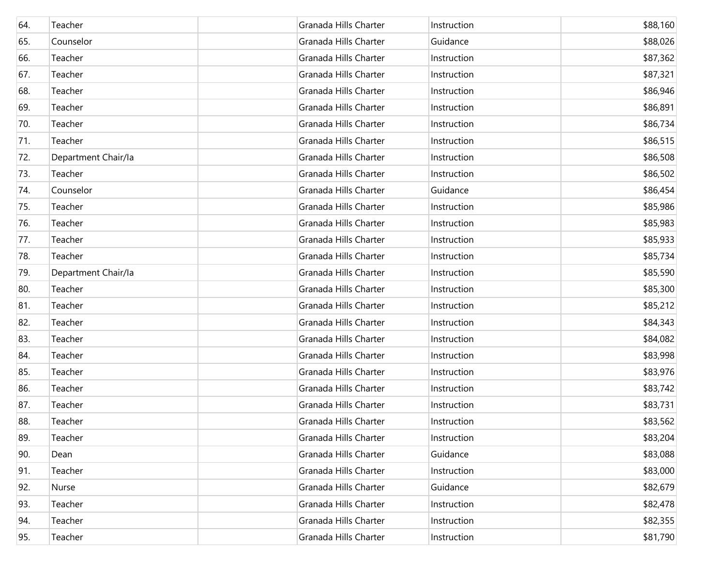| 64. | Teacher             | Granada Hills Charter | Instruction | \$88,160 |
|-----|---------------------|-----------------------|-------------|----------|
| 65. | Counselor           | Granada Hills Charter | Guidance    | \$88,026 |
| 66. | Teacher             | Granada Hills Charter | Instruction | \$87,362 |
| 67. | Teacher             | Granada Hills Charter | Instruction | \$87,321 |
| 68. | Teacher             | Granada Hills Charter | Instruction | \$86,946 |
| 69. | Teacher             | Granada Hills Charter | Instruction | \$86,891 |
| 70. | Teacher             | Granada Hills Charter | Instruction | \$86,734 |
| 71. | Teacher             | Granada Hills Charter | Instruction | \$86,515 |
| 72. | Department Chair/la | Granada Hills Charter | Instruction | \$86,508 |
| 73. | Teacher             | Granada Hills Charter | Instruction | \$86,502 |
| 74. | Counselor           | Granada Hills Charter | Guidance    | \$86,454 |
| 75. | Teacher             | Granada Hills Charter | Instruction | \$85,986 |
| 76. | Teacher             | Granada Hills Charter | Instruction | \$85,983 |
| 77. | Teacher             | Granada Hills Charter | Instruction | \$85,933 |
| 78. | Teacher             | Granada Hills Charter | Instruction | \$85,734 |
| 79. | Department Chair/la | Granada Hills Charter | Instruction | \$85,590 |
| 80. | Teacher             | Granada Hills Charter | Instruction | \$85,300 |
| 81. | Teacher             | Granada Hills Charter | Instruction | \$85,212 |
| 82. | Teacher             | Granada Hills Charter | Instruction | \$84,343 |
| 83. | Teacher             | Granada Hills Charter | Instruction | \$84,082 |
| 84. | Teacher             | Granada Hills Charter | Instruction | \$83,998 |
| 85. | Teacher             | Granada Hills Charter | Instruction | \$83,976 |
| 86. | Teacher             | Granada Hills Charter | Instruction | \$83,742 |
| 87. | Teacher             | Granada Hills Charter | Instruction | \$83,731 |
| 88. | Teacher             | Granada Hills Charter | Instruction | \$83,562 |
| 89. | Teacher             | Granada Hills Charter | Instruction | \$83,204 |
| 90. | Dean                | Granada Hills Charter | Guidance    | \$83,088 |
| 91. | Teacher             | Granada Hills Charter | Instruction | \$83,000 |
| 92. | Nurse               | Granada Hills Charter | Guidance    | \$82,679 |
| 93. | Teacher             | Granada Hills Charter | Instruction | \$82,478 |
| 94. | Teacher             | Granada Hills Charter | Instruction | \$82,355 |
| 95. | Teacher             | Granada Hills Charter | Instruction | \$81,790 |